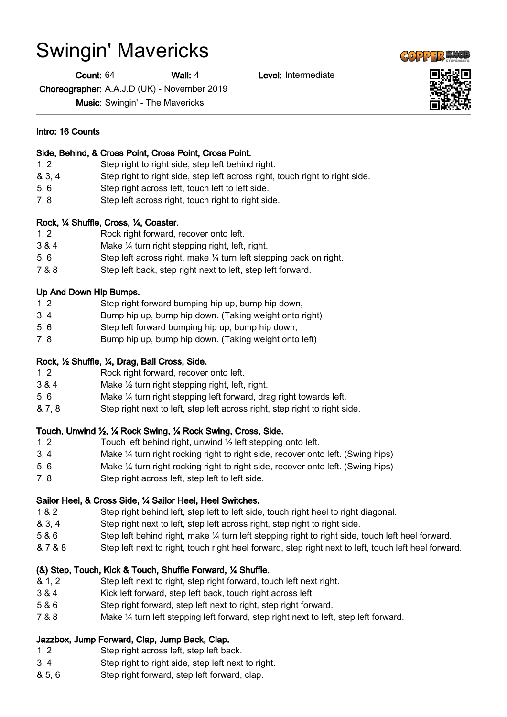# Swingin' Mavericks

Count: 64 Wall: 4 Level: Intermediate

Choreographer: A.A.J.D (UK) - November 2019

Music: Swingin' - The Mavericks

### Side, Behind, & Cross Point, Cross Point, Cross Point.

- 1, 2 Step right to right side, step left behind right.
- & 3, 4 Step right to right side, step left across right, touch right to right side.
- 5, 6 Step right across left, touch left to left side.
- 7, 8 Step left across right, touch right to right side.

# Rock, ¼ Shuffle, Cross, ¼, Coaster.

- 1, 2 Rock right forward, recover onto left.
- 3 & 4 Make ¼ turn right stepping right, left, right.
- 5, 6 Step left across right, make ¼ turn left stepping back on right.
- 7 & 8 Step left back, step right next to left, step left forward.

# Up And Down Hip Bumps.

- 1, 2 Step right forward bumping hip up, bump hip down,
- 3, 4 Bump hip up, bump hip down. (Taking weight onto right)
- 5, 6 Step left forward bumping hip up, bump hip down,
- 7, 8 Bump hip up, bump hip down. (Taking weight onto left)

# Rock, ½ Shuffle, ¼, Drag, Ball Cross, Side.

- 1, 2 Rock right forward, recover onto left.
- 3 & 4 Make ½ turn right stepping right, left, right.
- 5, 6 Make ¼ turn right stepping left forward, drag right towards left.
- & 7, 8 Step right next to left, step left across right, step right to right side.

# Touch, Unwind ½, ¼ Rock Swing, ¼ Rock Swing, Cross, Side.

- 1, 2 Touch left behind right, unwind 1/2 left stepping onto left.
- 3, 4 Make ¼ turn right rocking right to right side, recover onto left. (Swing hips)
- 5, 6 Make ¼ turn right rocking right to right side, recover onto left. (Swing hips)
- 7, 8 Step right across left, step left to left side.

#### Sailor Heel, & Cross Side, ¼ Sailor Heel, Heel Switches.

- 1 & 2 Step right behind left, step left to left side, touch right heel to right diagonal.
- & 3, 4 Step right next to left, step left across right, step right to right side.
- 5 & 6 Step left behind right, make ¼ turn left stepping right to right side, touch left heel forward.
- & 7 & 8 Step left next to right, touch right heel forward, step right next to left, touch left heel forward.

# (&) Step, Touch, Kick & Touch, Shuffle Forward, ¼ Shuffle.

- & 1, 2 Step left next to right, step right forward, touch left next right.
- 3 & 4 Kick left forward, step left back, touch right across left.
- 5 & 6 Step right forward, step left next to right, step right forward.
- 7 & 8 Make ¼ turn left stepping left forward, step right next to left, step left forward.

# Jazzbox, Jump Forward, Clap, Jump Back, Clap.

- 1, 2 Step right across left, step left back.
- 3, 4 Step right to right side, step left next to right.
- & 5, 6 Step right forward, step left forward, clap.